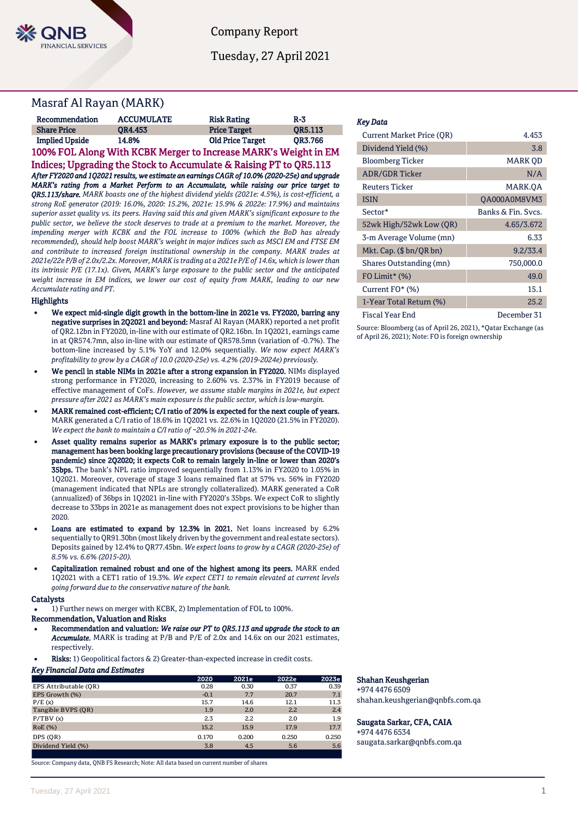

Company Report

Tuesday, 27 April 2021

## Masraf Al Rayan (MARK)

| Recommendation        | <b>ACCUMULATE</b> | <b>Risk Rating</b>      | $R-3$          |
|-----------------------|-------------------|-------------------------|----------------|
| <b>Share Price</b>    | OR4.453           | <b>Price Target</b>     | <b>OR5.113</b> |
| <b>Implied Upside</b> | 14.8%             | <b>Old Price Target</b> | <b>OR3.766</b> |

100% FOL Along With KCBK Merger to Increase MARK's Weight in EM Indices; Upgrading the Stock to Accumulate & Raising PT to QR5.113 *After FY2020 and 1Q2021 results, we estimate an earnings CAGR of 10.0% (2020-25e) and upgrade MARK's rating from a Market Perform to an Accumulate, while raising our price target to QR5.113/share. MARK boasts one of the highest dividend yields (2021e: 4.5%), is cost-efficient, a strong RoE generator (2019: 16.0%, 2020: 15.2%, 2021e: 15.9% & 2022e: 17.9%) and maintains superior asset quality vs. its peers. Having said this and given MARK's significant exposure to the public sector, we believe the stock deserves to trade at a premium to the market. Moreover, the impending merger with KCBK and the FOL increase to 100% (which the BoD has already recommended), should help boost MARK's weight in major indices such as MSCI EM and FTSE EM and contribute to increased foreign institutional ownership in the company. MARK trades at 2021e/22e P/B of 2.0x/2.2x. Moreover, MARK is trading at a 2021e P/E of 14.6x, which is lower than its intrinsic P/E (17.1x). Given, MARK's large exposure to the public sector and the anticipated weight increase in EM indices, we lower our cost of equity from MARK, leading to our new Accumulate rating and PT.* 

#### Highlights

- We expect mid-single digit growth in the bottom-line in 2021e vs. FY2020, barring any negative surprises in 2Q2021 and beyond: Masraf Al Rayan (MARK) reported a net profit of QR2.12bn in FY2020, in-line with our estimate of QR2.16bn. In 1Q2021, earnings came in at QR574.7mn, also in-line with our estimate of QR578.5mn (variation of -0.7%). The bottom-line increased by 5.1% YoY and 12.0% sequentially. *We now expect MARK's profitability to grow by a CAGR of 10.0 (2020-25e) vs. 4.2% (2019-2024e) previously.*
- We pencil in stable NIMs in 2021e after a strong expansion in FY2020. NIMs displayed strong performance in FY2020, increasing to 2.60% vs. 2.37% in FY2019 because of effective management of CoFs. *However, we assume stable margins in 2021e, but expect pressure after 2021 as MARK's main exposure is the public sector, which is low-margin.*
- MARK remained cost-efficient; C/I ratio of 20% is expected for the next couple of years. MARK generated a C/I ratio of 18.6% in 1Q2021 vs. 22.6% in 1Q2020 (21.5% in FY2020). *We expect the bank to maintain a C/I ratio of ~20.5% in 2021-24e.*
- Asset quality remains superior as MARK's primary exposure is to the public sector; management has been booking large precautionary provisions (because of the COVID-19 pandemic) since 2Q2020; it expects CoR to remain largely in-line or lower than 2020's 35bps. The bank's NPL ratio improved sequentially from 1.13% in FY2020 to 1.05% in 1Q2021. Moreover, coverage of stage 3 loans remained flat at 57% vs. 56% in FY2020 (management indicated that NPLs are strongly collateralized). MARK generated a CoR (annualized) of 36bps in 1Q2021 in-line with FY2020's 35bps. We expect CoR to slightly decrease to 33bps in 2021e as management does not expect provisions to be higher than 2020.
- Loans are estimated to expand by 12.3% in 2021. Net loans increased by 6.2% sequentially to QR91.30bn (most likely driven by the government and real estate sectors). Deposits gained by 12.4% to QR77.45bn. *We expect loans to grow by a CAGR (2020-25e) of 8.5% vs. 6.6% (2015-20).*
- Capitalization remained robust and one of the highest among its peers. MARK ended 1Q2021 with a CET1 ratio of 19.3%. *We expect CET1 to remain elevated at current levels going forward due to the conservative nature of the bank.*

#### **Catalysts**

1) Further news on merger with KCBK, 2) Implementation of FOL to 100%.

### Recommendation, Valuation and Risks

- Recommendation and valuation: *We raise our PT to QR5.113 and upgrade the stock to an Accumulate.* MARK is trading at P/B and P/E of 2.0x and 14.6x on our 2021 estimates, respectively.
- Risks: 1) Geopolitical factors & 2) Greater-than-expected increase in credit costs.

### *Key Financial Data and Estimates*

|                       | 2020   | 2021e | 2022e | 2023e |
|-----------------------|--------|-------|-------|-------|
| EPS Attributable (OR) | 0.28   | 0.30  | 0.37  | 0.39  |
| EPS Growth (%)        | $-0.1$ | 7.7   | 20.7  | 7.1   |
| P/E(x)                | 15.7   | 14.6  | 12.1  | 11.3  |
| Tangible BVPS (OR)    | 1.9    | 2.0   | 2.2   | 2.4   |
| P/TBV(x)              | 2.3    | 2.2   | 2.0   | 1.9   |
| RoE (%)               | 15.2   | 15.9  | 17.9  | 17.7  |
| DPS (OR)              | 0.170  | 0.200 | 0.250 | 0.250 |
| Dividend Yield (%)    | 3.8    | 4.5   | 5.6   | 5.6   |
|                       |        |       |       |       |

Source: Company data, QNB FS Research; Note: All data based on current number of shares

#### *Key Data*

| <b>Current Market Price (OR)</b> | 4.453              |
|----------------------------------|--------------------|
| Dividend Yield (%)               | 3.8                |
| <b>Bloomberg Ticker</b>          | <b>MARK OD</b>     |
| <b>ADR/GDR Ticker</b>            | N/A                |
| <b>Reuters Ticker</b>            | MARK.OA            |
| <b>ISIN</b>                      | OA000A0M8VM3       |
| Sector*                          | Banks & Fin. Svcs. |
| 52wk High/52wk Low (QR)          | 4.65/3.672         |
| 3-m Average Volume (mn)          | 6.33               |
| Mkt. Cap. $(\$bn/QR bn)$         | 9.2/33.4           |
| Shares Outstanding (mn)          | 750,000.0          |
| FO Limit* $(\%)$                 | 49.0               |
| Current FO* (%)                  | 15.1               |
| 1-Year Total Return (%)          | 25.2               |
| Fiscal Year End                  | December 31        |

Source: Bloomberg (as of April 26, 2021), \*Qatar Exchange (as of April 26, 2021); Note: FO is foreign ownership

#### Shahan Keushgerian

+974 4476 6509 shahan.keushgerian@qnbfs.com.qa

#### Saugata Sarkar, CFA, CAIA

+974 4476 6534 saugata.sarkar@qnbfs.com.qa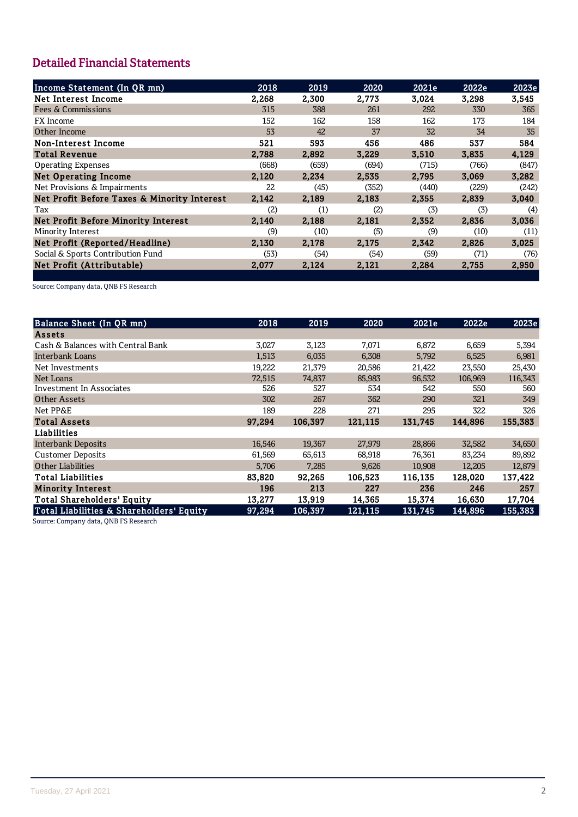# **Detailed Financial Statements**

| Income Statement (In QR mn)                 | 2018  | 2019  | 2020  | 2021e | 2022e | 2023e |
|---------------------------------------------|-------|-------|-------|-------|-------|-------|
| Net Interest Income                         | 2,268 | 2,300 | 2,773 | 3,024 | 3,298 | 3,545 |
| <b>Fees &amp; Commissions</b>               | 315   | 388   | 261   | 292   | 330   | 365   |
| <b>FX</b> Income                            | 152   | 162   | 158   | 162   | 173   | 184   |
| Other Income                                | 53    | 42    | 37    | 32    | 34    | 35    |
| Non-Interest Income                         | 521   | 593   | 456   | 486   | 537   | 584   |
| <b>Total Revenue</b>                        | 2,788 | 2,892 | 3,229 | 3,510 | 3,835 | 4,129 |
| <b>Operating Expenses</b>                   | (668) | (659) | (694) | (715) | (766) | (847) |
| <b>Net Operating Income</b>                 | 2,120 | 2,234 | 2,535 | 2,795 | 3,069 | 3,282 |
| Net Provisions & Impairments                | 22    | (45)  | (352) | (440) | (229) | (242) |
| Net Profit Before Taxes & Minority Interest | 2,142 | 2,189 | 2,183 | 2,355 | 2,839 | 3,040 |
| Tax                                         | (2)   | (1)   | (2)   | (3)   | (3)   | (4)   |
| Net Profit Before Minority Interest         | 2,140 | 2,188 | 2,181 | 2,352 | 2,836 | 3,036 |
| Minority Interest                           | (9)   | (10)  | (5)   | (9)   | (10)  | (11)  |
| Net Profit (Reported/Headline)              | 2,130 | 2,178 | 2,175 | 2,342 | 2,826 | 3,025 |
| Social & Sports Contribution Fund           | (53)  | (54)  | (54)  | (59)  | (71)  | (76)  |
| Net Profit (Attributable)                   | 2,077 | 2,124 | 2,121 | 2,284 | 2,755 | 2,950 |

Source: Company data, QNB FS Research

| Balance Sheet (In QR mn)                 | 2018   | 2019    | 2020    | 2021e   | 2022e   | 2023e   |
|------------------------------------------|--------|---------|---------|---------|---------|---------|
| <b>Assets</b>                            |        |         |         |         |         |         |
| Cash & Balances with Central Bank        | 3,027  | 3,123   | 7,071   | 6,872   | 6,659   | 5,394   |
| Interbank Loans                          | 1,513  | 6,035   | 6,308   | 5,792   | 6,525   | 6,981   |
| Net Investments                          | 19,222 | 21,379  | 20,586  | 21,422  | 23,550  | 25,430  |
| Net Loans                                | 72,515 | 74,837  | 85,983  | 96,532  | 106,969 | 116,343 |
| Investment In Associates                 | 526    | 527     | 534     | 542     | 550     | 560     |
| Other Assets                             | 302    | 267     | 362     | 290     | 321     | 349     |
| Net PP&E                                 | 189    | 228     | 271     | 295     | 322     | 326     |
| <b>Total Assets</b>                      | 97.294 | 106,397 | 121,115 | 131.745 | 144,896 | 155,383 |
| Liabilities                              |        |         |         |         |         |         |
| <b>Interbank Deposits</b>                | 16,546 | 19,367  | 27,979  | 28,866  | 32,582  | 34,650  |
| <b>Customer Deposits</b>                 | 61,569 | 65,613  | 68,918  | 76,361  | 83,234  | 89,892  |
| <b>Other Liabilities</b>                 | 5,706  | 7,285   | 9,626   | 10,908  | 12,205  | 12,879  |
| <b>Total Liabilities</b>                 | 83,820 | 92,265  | 106,523 | 116,135 | 128,020 | 137,422 |
| <b>Minority Interest</b>                 | 196    | 213     | 227     | 236     | 246     | 257     |
| <b>Total Shareholders' Equity</b>        | 13,277 | 13,919  | 14,365  | 15,374  | 16,630  | 17,704  |
| Total Liabilities & Shareholders' Equity | 97,294 | 106,397 | 121,115 | 131,745 | 144,896 | 155,383 |

Source: Company data, QNB FS Research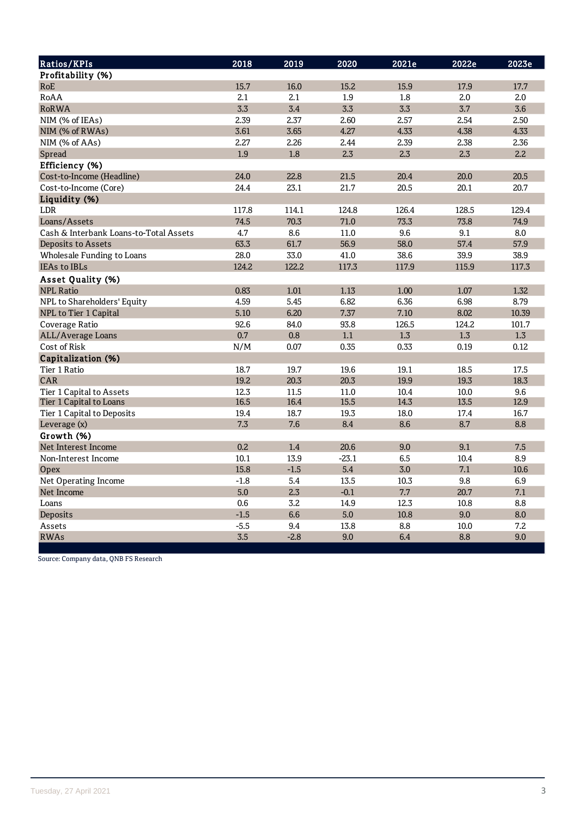| Ratios/KPIs                            | 2018   | 2019   | 2020    | 2021e | 2022e | 2023e |
|----------------------------------------|--------|--------|---------|-------|-------|-------|
| Profitability (%)                      |        |        |         |       |       |       |
| RoE                                    | 15.7   | 16.0   | 15.2    | 15.9  | 17.9  | 17.7  |
| RoAA                                   | 2.1    | 2.1    | 1.9     | 1.8   | 2.0   | 2.0   |
| <b>RoRWA</b>                           | 3.3    | 3.4    | 3.3     | 3.3   | 3.7   | 3.6   |
| NIM (% of IEAs)                        | 2.39   | 2.37   | 2.60    | 2.57  | 2.54  | 2.50  |
| NIM (% of RWAs)                        | 3.61   | 3.65   | 4.27    | 4.33  | 4.38  | 4.33  |
| NIM (% of AAs)                         | 2.27   | 2.26   | 2.44    | 2.39  | 2.38  | 2.36  |
| Spread                                 | 1.9    | 1.8    | 2.3     | 2.3   | 2.3   | 2.2   |
| Efficiency (%)                         |        |        |         |       |       |       |
| Cost-to-Income (Headline)              | 24.0   | 22.8   | 21.5    | 20.4  | 20.0  | 20.5  |
| Cost-to-Income (Core)                  | 24.4   | 23.1   | 21.7    | 20.5  | 20.1  | 20.7  |
| Liquidity (%)                          |        |        |         |       |       |       |
| <b>LDR</b>                             | 117.8  | 114.1  | 124.8   | 126.4 | 128.5 | 129.4 |
| Loans/Assets                           | 74.5   | 70.3   | 71.0    | 73.3  | 73.8  | 74.9  |
| Cash & Interbank Loans-to-Total Assets | 4.7    | 8.6    | 11.0    | 9.6   | 9.1   | 8.0   |
| Deposits to Assets                     | 63.3   | 61.7   | 56.9    | 58.0  | 57.4  | 57.9  |
| Wholesale Funding to Loans             | 28.0   | 33.0   | 41.0    | 38.6  | 39.9  | 38.9  |
| <b>IEAs to IBLs</b>                    | 124.2  | 122.2  | 117.3   | 117.9 | 115.9 | 117.3 |
| Asset Quality (%)                      |        |        |         |       |       |       |
| <b>NPL Ratio</b>                       | 0.83   | 1.01   | 1.13    | 1.00  | 1.07  | 1.32  |
| NPL to Shareholders' Equity            | 4.59   | 5.45   | 6.82    | 6.36  | 6.98  | 8.79  |
| NPL to Tier 1 Capital                  | 5.10   | 6.20   | 7.37    | 7.10  | 8.02  | 10.39 |
| Coverage Ratio                         | 92.6   | 84.0   | 93.8    | 126.5 | 124.2 | 101.7 |
| ALL/Average Loans                      | 0.7    | 0.8    | 1.1     | 1.3   | 1.3   | 1.3   |
| Cost of Risk                           | N/M    | 0.07   | 0.35    | 0.33  | 0.19  | 0.12  |
| Capitalization (%)                     |        |        |         |       |       |       |
| Tier 1 Ratio                           | 18.7   | 19.7   | 19.6    | 19.1  | 18.5  | 17.5  |
| CAR                                    | 19.2   | 20.3   | 20.3    | 19.9  | 19.3  | 18.3  |
| Tier 1 Capital to Assets               | 12.3   | 11.5   | 11.0    | 10.4  | 10.0  | 9.6   |
| Tier 1 Capital to Loans                | 16.5   | 16.4   | 15.5    | 14.3  | 13.5  | 12.9  |
| Tier 1 Capital to Deposits             | 19.4   | 18.7   | 19.3    | 18.0  | 17.4  | 16.7  |
| Leverage (x)                           | 7.3    | 7.6    | 8.4     | 8.6   | 8.7   | 8.8   |
| Growth (%)                             |        |        |         |       |       |       |
| Net Interest Income                    | 0.2    | 1.4    | 20.6    | 9.0   | 9.1   | 7.5   |
| Non-Interest Income                    | 10.1   | 13.9   | $-23.1$ | 6.5   | 10.4  | 8.9   |
| <b>Opex</b>                            | 15.8   | $-1.5$ | 5.4     | 3.0   | 7.1   | 10.6  |
| Net Operating Income                   | $-1.8$ | 5.4    | 13.5    | 10.3  | 9.8   | 6.9   |
| Net Income                             | 5.0    | 2.3    | $-0.1$  | 7.7   | 20.7  | 7.1   |
| Loans                                  | 0.6    | 3.2    | 14.9    | 12.3  | 10.8  | 8.8   |
| Deposits                               | $-1.5$ | 6.6    | 5.0     | 10.8  | 9.0   | 8.0   |
| Assets                                 | $-5.5$ | 9.4    | 13.8    | 8.8   | 10.0  | 7.2   |
| <b>RWAs</b>                            | 3.5    | $-2.8$ | 9.0     | 6.4   | 8.8   | 9.0   |

Source: Company data, QNB FS Research